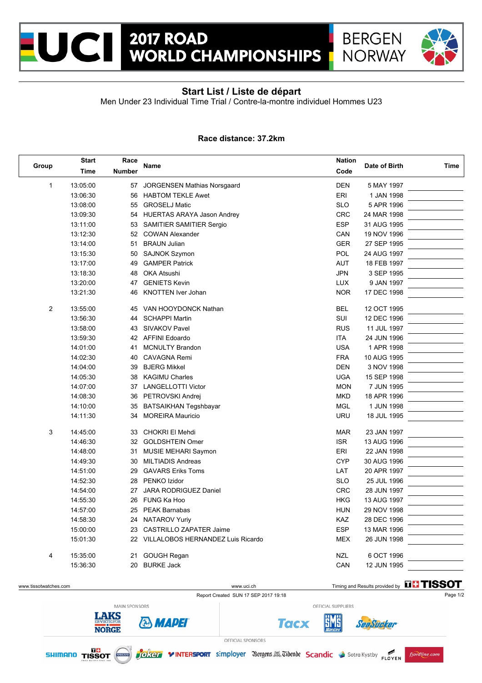



## **Start List / Liste de départ**

Men Under 23 Individual Time Trial / Contre-la-montre individuel Hommes U23

## **Race distance: 37.2km**

| Group          | <b>Start</b> | Race          |                                      |            |               |      |
|----------------|--------------|---------------|--------------------------------------|------------|---------------|------|
|                | Time         | <b>Number</b> | <b>Name</b>                          | Code       | Date of Birth | Time |
| 1              | 13:05:00     | 57            | JORGENSEN Mathias Norsgaard          | <b>DEN</b> | 5 MAY 1997    |      |
|                | 13:06:30     | 56            | <b>HABTOM TEKLE Awet</b>             | ERI        | 1 JAN 1998    |      |
|                | 13:08:00     | 55            | <b>GROSELJ Matic</b>                 | <b>SLO</b> | 5 APR 1996    |      |
|                | 13:09:30     | 54            | HUERTAS ARAYA Jason Andrey           | <b>CRC</b> | 24 MAR 1998   |      |
|                | 13:11:00     | 53            | SAMITIER SAMITIER Sergio             | <b>ESP</b> | 31 AUG 1995   |      |
|                | 13:12:30     | 52            | <b>COWAN Alexander</b>               | CAN        | 19 NOV 1996   |      |
|                | 13:14:00     | 51            | <b>BRAUN Julian</b>                  | <b>GER</b> | 27 SEP 1995   |      |
|                | 13:15:30     | 50            | <b>SAJNOK Szymon</b>                 | POL        | 24 AUG 1997   |      |
|                | 13:17:00     | 49            | <b>GAMPER Patrick</b>                | AUT        | 18 FEB 1997   |      |
|                | 13:18:30     | 48            | <b>OKA Atsushi</b>                   | <b>JPN</b> | 3 SEP 1995    |      |
|                | 13:20:00     | 47            | <b>GENIETS Kevin</b>                 | <b>LUX</b> | 9 JAN 1997    |      |
|                | 13:21:30     | 46            | <b>KNOTTEN Iver Johan</b>            | <b>NOR</b> | 17 DEC 1998   |      |
| $\overline{2}$ | 13:55:00     | 45            | VAN HOOYDONCK Nathan                 | <b>BEL</b> | 12 OCT 1995   |      |
|                | 13:56:30     | 44            | <b>SCHAPPI Martin</b>                | SUI        | 12 DEC 1996   |      |
|                | 13:58:00     | 43            | SIVAKOV Pavel                        | <b>RUS</b> | 11 JUL 1997   |      |
|                | 13:59:30     | 42            | <b>AFFINI Edoardo</b>                | <b>ITA</b> | 24 JUN 1996   |      |
|                | 14:01:00     | 41            | <b>MCNULTY Brandon</b>               | <b>USA</b> | 1 APR 1998    |      |
|                | 14:02:30     | 40            | <b>CAVAGNA Remi</b>                  | <b>FRA</b> | 10 AUG 1995   |      |
|                | 14:04:00     | 39            | <b>BJERG Mikkel</b>                  | <b>DEN</b> | 3 NOV 1998    |      |
|                | 14:05:30     | 38            | <b>KAGIMU Charles</b>                | <b>UGA</b> | 15 SEP 1998   |      |
|                | 14:07:00     | 37            | <b>LANGELLOTTI Victor</b>            | <b>MON</b> | 7 JUN 1995    |      |
|                | 14:08:30     | 36            | PETROVSKI Andrej                     | <b>MKD</b> | 18 APR 1996   |      |
|                | 14:10:00     | 35            | BATSAIKHAN Tegshbayar                | <b>MGL</b> | 1 JUN 1998    |      |
|                | 14:11:30     | 34            | <b>MOREIRA Mauricio</b>              | <b>URU</b> | 18 JUL 1995   |      |
| 3              | 14:45:00     | 33            | CHOKRI El Mehdi                      | <b>MAR</b> | 23 JAN 1997   |      |
|                | 14:46:30     | 32            | <b>GOLDSHTEIN Omer</b>               | <b>ISR</b> | 13 AUG 1996   |      |
|                | 14:48:00     | 31            | MUSIE MEHARI Saymon                  | ERI        | 22 JAN 1998   |      |
|                | 14:49:30     | 30            | <b>MILTIADIS Andreas</b>             | <b>CYP</b> | 30 AUG 1996   |      |
|                | 14:51:00     | 29            | <b>GAVARS Eriks Toms</b>             | LAT        | 20 APR 1997   |      |
|                | 14:52:30     | 28            | PENKO Izidor                         | <b>SLO</b> | 25 JUL 1996   |      |
|                | 14:54:00     | 27            | JARA RODRIGUEZ Daniel                | CRC        | 28 JUN 1997   |      |
|                | 14:55:30     | 26            | FUNG Ka Hoo                          | <b>HKG</b> | 13 AUG 1997   |      |
|                | 14:57:00     | 25            | <b>PEAK Barnabas</b>                 | <b>HUN</b> | 29 NOV 1998   |      |
|                | 14:58:30     |               | 24 NATAROV Yuriy                     | KAZ        | 28 DEC 1996   |      |
|                | 15:00:00     |               | 23 CASTRILLO ZAPATER Jaime           | <b>ESP</b> | 13 MAR 1996   |      |
|                | 15:01:30     |               | 22 VILLALOBOS HERNANDEZ Luis Ricardo | <b>MEX</b> | 26 JUN 1998   |      |
|                |              |               |                                      |            |               |      |
| 4              | 15:35:00     |               | 21 GOUGH Regan                       | <b>NZL</b> | 6 OCT 1996    |      |
|                | 15:36:30     |               | 20 BURKE Jack                        | CAN        | 12 JUN 1995   |      |
|                |              |               |                                      |            |               |      |

Report Created SUN 17 SEP 2017 19:18

www.tissotwatches.com www.uci.ch Timing and Results provided by THSSOT



MAIN SPONSORS **LAKS & MADEI NORGE** 

OFFICIAL SPONSORS



**Tacx** 

OFFICIAL SUPPLIERS

5M6

SeaSucker

fjordline.com